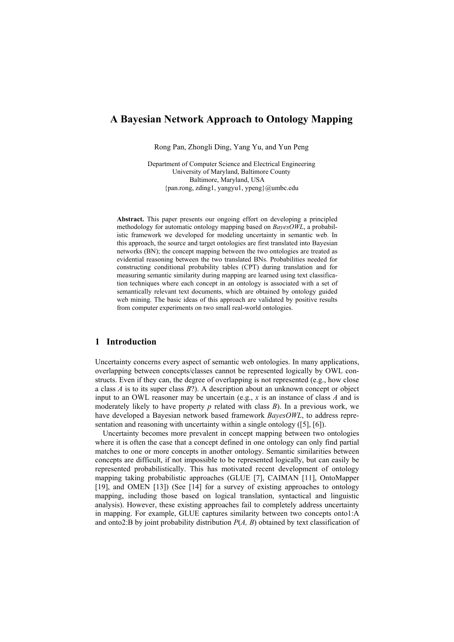# **A Bayesian Network Approach to Ontology Mapping**

Rong Pan, Zhongli Ding, Yang Yu, and Yun Peng

Department of Computer Science and Electrical Engineering University of Maryland, Baltimore County Baltimore, Maryland, USA {pan.rong, zding1, yangyu1, ypeng}@umbc.edu

**Abstract.** This paper presents our ongoing effort on developing a principled methodology for automatic ontology mapping based on *BayesOWL*, a probabilistic framework we developed for modeling uncertainty in semantic web. In this approach, the source and target ontologies are first translated into Bayesian networks (BN); the concept mapping between the two ontologies are treated as evidential reasoning between the two translated BNs. Probabilities needed for constructing conditional probability tables (CPT) during translation and for measuring semantic similarity during mapping are learned using text classification techniques where each concept in an ontology is associated with a set of semantically relevant text documents, which are obtained by ontology guided web mining. The basic ideas of this approach are validated by positive results from computer experiments on two small real-world ontologies.

### **1 Introduction**

Uncertainty concerns every aspect of semantic web ontologies. In many applications, overlapping between concepts/classes cannot be represented logically by OWL constructs. Even if they can, the degree of overlapping is not represented (e.g., how close a class *A* is to its super class *B*?). A description about an unknown concept or object input to an OWL reasoner may be uncertain (e.g.,  $x$  is an instance of class  $A$  and is moderately likely to have property *p* related with class *B*). In a previous work, we have developed a Bayesian network based framework *BayesOWL*, to address representation and reasoning with uncertainty within a single ontology ([5], [6]).

 Uncertainty becomes more prevalent in concept mapping between two ontologies where it is often the case that a concept defined in one ontology can only find partial matches to one or more concepts in another ontology. Semantic similarities between concepts are difficult, if not impossible to be represented logically, but can easily be represented probabilistically. This has motivated recent development of ontology mapping taking probabilistic approaches (GLUE [7], CAIMAN [11], OntoMapper [19], and OMEN [13]) (See [14] for a survey of existing approaches to ontology mapping, including those based on logical translation, syntactical and linguistic analysis). However, these existing approaches fail to completely address uncertainty in mapping. For example, GLUE captures similarity between two concepts onto1:A and onto2:B by joint probability distribution *P*(*A, B*) obtained by text classification of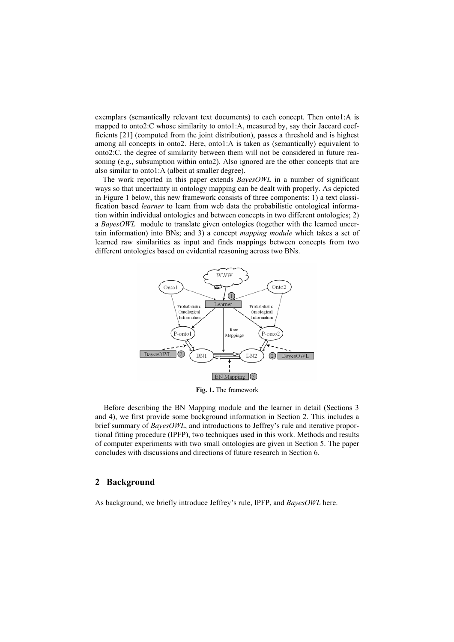exemplars (semantically relevant text documents) to each concept. Then onto1:A is mapped to onto2:C whose similarity to onto1:A, measured by, say their Jaccard coefficients [21] (computed from the joint distribution), passes a threshold and is highest among all concepts in onto2. Here, onto1:A is taken as (semantically) equivalent to onto2:C, the degree of similarity between them will not be considered in future reasoning (e.g., subsumption within onto2). Also ignored are the other concepts that are also similar to onto1:A (albeit at smaller degree).

 The work reported in this paper extends *BayesOWL* in a number of significant ways so that uncertainty in ontology mapping can be dealt with properly. As depicted in Figure 1 below, this new framework consists of three components: 1) a text classification based *learner* to learn from web data the probabilistic ontological information within individual ontologies and between concepts in two different ontologies; 2) a *BayesOWL* module to translate given ontologies (together with the learned uncertain information) into BNs; and 3) a concept *mapping module* which takes a set of learned raw similarities as input and finds mappings between concepts from two different ontologies based on evidential reasoning across two BNs.



**Fig. 1.** The framework

Before describing the BN Mapping module and the learner in detail (Sections 3 and 4), we first provide some background information in Section 2. This includes a brief summary of *BayesOWL*, and introductions to Jeffrey's rule and iterative proportional fitting procedure (IPFP), two techniques used in this work. Methods and results of computer experiments with two small ontologies are given in Section 5. The paper concludes with discussions and directions of future research in Section 6.

# **2 Background**

As background, we briefly introduce Jeffrey's rule, IPFP, and *BayesOWL* here.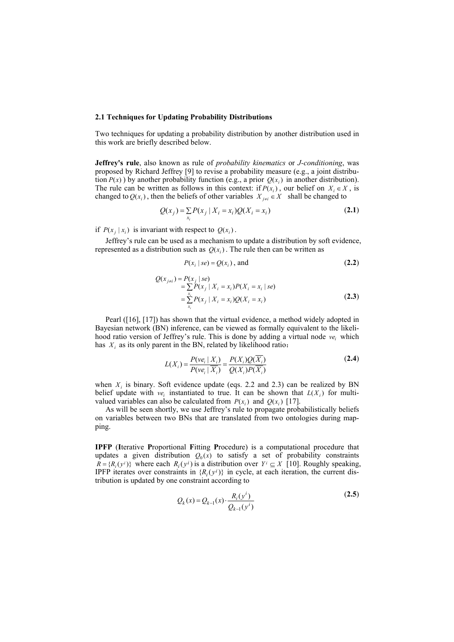#### **2.1 Techniques for Updating Probability Distributions**

Two techniques for updating a probability distribution by another distribution used in this work are briefly described below.

**Jeffrey's rule**, also known as rule of *probability kinematics* or *J-conditioning*, was proposed by Richard Jeffrey [9] to revise a probability measure (e.g., a joint distribution  $P(x)$ ) by another probability function (e.g., a prior  $Q(x_i)$ ) in another distribution). The rule can be written as follows in this context: if  $P(x_i)$ , our belief on  $X_i \in X$ , is changed to  $Q(x_i)$ , then the beliefs of other variables  $X_{i\neq i} \in X$  shall be changed to

$$
Q(x_j) = \sum_{x_i} P(x_j \mid X_i = x_i) Q(X_i = x_i)
$$
\n(2.1)

if  $P(x_i | x_i)$  is invariant with respect to  $Q(x_i)$ .

Jeffrey's rule can be used as a mechanism to update a distribution by soft evidence, represented as a distribution such as  $Q(x_i)$ . The rule then can be written as

$$
P(x_i \mid se) = Q(x_i), \text{ and } \tag{2.2}
$$

$$
Q(x_{j\neq i}) = P(x_j \mid se) = \sum_{x_i} P(x_j \mid X_i = x_i) P(X_i = x_i \mid se) = \sum_{x_i}^{x_i} P(x_j \mid X_i = x_i) Q(X_i = x_i)
$$
 (2.3)

Pearl ([16], [17]) has shown that the virtual evidence, a method widely adopted in Bayesian network (BN) inference, can be viewed as formally equivalent to the likelihood ratio version of Jeffrey's rule. This is done by adding a virtual node  $ve_i$  which has  $X_i$  as its only parent in the BN, related by likelihood ratio:

$$
L(X_i) = \frac{P(\nu e_i \mid X_i)}{P(\nu e_i \mid \overline{X_i})} = \frac{P(X_i)Q(\overline{X_i})}{Q(X_i)P(\overline{X_i})}
$$
(2.4)

when  $X_i$  is binary. Soft evidence update (eqs. 2.2 and 2.3) can be realized by BN belief update with  $ve_i$  instantiated to true. It can be shown that  $L(X_i)$  for multivalued variables can also be calculated from  $P(x_i)$  and  $Q(x_i)$  [17].

As will be seen shortly, we use Jeffrey's rule to propagate probabilistically beliefs on variables between two BNs that are translated from two ontologies during mapping.

**IPFP** (**I**terative **P**roportional **F**itting **P**rocedure) is a computational procedure that updates a given distribution  $Q_0(x)$  to satisfy a set of probability constraints  $R = \{R_i(y^i)\}\$  where each  $R_i(y^i)$  is a distribution over  $Y^i \subseteq X$  [10]. Roughly speaking, IPFP iterates over constraints in  ${R_i(y^i)}$  in cycle, at each iteration, the current distribution is updated by one constraint according to

$$
Q_k(x) = Q_{k-1}(x) \cdot \frac{R_i(y^i)}{Q_{k-1}(y^i)}
$$
\n(2.5)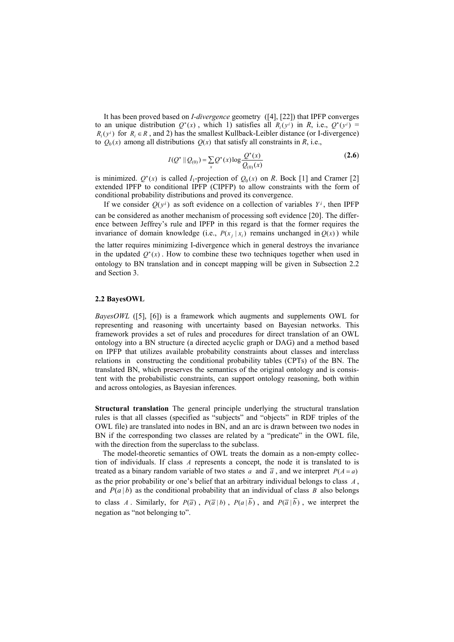It has been proved based on *I-divergence* geometry ([4], [22]) that IPFP converges to an unique distribution  $Q^*(x)$ , which 1) satisfies all  $R_i(y^i)$  in  $R_i$ , i.e.,  $Q^*(y^i)$  =  $R_i(y^i)$  for  $R_i \in R$ , and 2) has the smallest Kullback-Leibler distance (or I-divergence) to  $Q_0(x)$  among all distributions  $Q(x)$  that satisfy all constraints in *R*, i.e.,

$$
I(Q^* \parallel Q_{(0)}) = \sum_{x} Q^*(x) \log \frac{Q^*(x)}{Q_{(0)}(x)}
$$
(2.6)

is minimized.  $Q^*(x)$  is called *I*<sub>1</sub>-projection of  $Q_0(x)$  on *R*. Bock [1] and Cramer [2] extended IPFP to conditional IPFP (CIPFP) to allow constraints with the form of conditional probability distributions and proved its convergence.

If we consider  $Q(y^i)$  as soft evidence on a collection of variables  $Y^i$ , then IPFP can be considered as another mechanism of processing soft evidence [20]. The difference between Jeffrey's rule and IPFP in this regard is that the former requires the invariance of domain knowledge (i.e.,  $P(x_i | x_i)$  remains unchanged in  $Q(x)$ ) while the latter requires minimizing I-divergence which in general destroys the invariance in the updated  $Q^*(x)$ . How to combine these two techniques together when used in ontology to BN translation and in concept mapping will be given in Subsection 2.2 and Section 3.

#### **2.2 BayesOWL**

*BayesOWL* ([5], [6]) is a framework which augments and supplements OWL for representing and reasoning with uncertainty based on Bayesian networks. This framework provides a set of rules and procedures for direct translation of an OWL ontology into a BN structure (a directed acyclic graph or DAG) and a method based on IPFP that utilizes available probability constraints about classes and interclass relations in constructing the conditional probability tables (CPTs) of the BN. The translated BN, which preserves the semantics of the original ontology and is consistent with the probabilistic constraints, can support ontology reasoning, both within and across ontologies, as Bayesian inferences.

**Structural translation** The general principle underlying the structural translation rules is that all classes (specified as "subjects" and "objects" in RDF triples of the OWL file) are translated into nodes in BN, and an arc is drawn between two nodes in BN if the corresponding two classes are related by a "predicate" in the OWL file, with the direction from the superclass to the subclass.

 The model-theoretic semantics of OWL treats the domain as a non-empty collection of individuals. If class *A* represents a concept, the node it is translated to is treated as a binary random variable of two states *a* and  $\bar{a}$ , and we interpret  $P(A = a)$ as the prior probability or one's belief that an arbitrary individual belongs to class *A* , and  $P(a | b)$  as the conditional probability that an individual of class *B* also belongs to class *A*. Similarly, for  $P(\overline{a})$ ,  $P(\overline{a} | b)$ ,  $P(a | \overline{b})$ , and  $P(\overline{a} | \overline{b})$ , we interpret the negation as "not belonging to".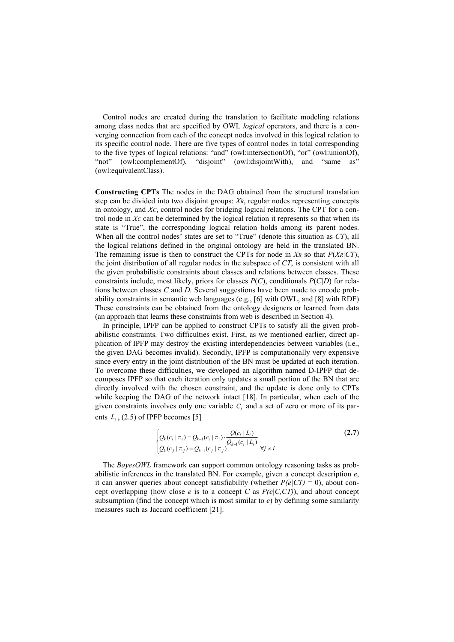Control nodes are created during the translation to facilitate modeling relations among class nodes that are specified by OWL *logical* operators, and there is a converging connection from each of the concept nodes involved in this logical relation to its specific control node. There are five types of control nodes in total corresponding to the five types of logical relations: "and" (owl:intersectionOf), "or" (owl:unionOf), "not" (owl:complementOf), "disjoint" (owl:disjointWith), and "same as" (owl:equivalentClass).

**Constructing CPTs** The nodes in the DAG obtained from the structural translation step can be divided into two disjoint groups: *XR*, regular nodes representing concepts in ontology, and *XC*, control nodes for bridging logical relations. The CPT for a control node in *XC* can be determined by the logical relation it represents so that when its state is "True", the corresponding logical relation holds among its parent nodes. When all the control nodes' states are set to "True" (denote this situation as *CT*), all the logical relations defined in the original ontology are held in the translated BN. The remaining issue is then to construct the CPTs for node in  $X_R$  so that  $P(X_R|CT)$ , the joint distribution of all regular nodes in the subspace of *CT*, is consistent with all the given probabilistic constraints about classes and relations between classes. These constraints include, most likely, priors for classes *P*(*C*), conditionals *P*(*C|D*) for relations between classes *C* and *D.* Several suggestions have been made to encode probability constraints in semantic web languages (e.g., [6] with OWL, and [8] with RDF). These constraints can be obtained from the ontology designers or learned from data (an approach that learns these constraints from web is described in Section 4).

 In principle, IPFP can be applied to construct CPTs to satisfy all the given probabilistic constraints. Two difficulties exist. First, as we mentioned earlier, direct application of IPFP may destroy the existing interdependencies between variables (i.e., the given DAG becomes invalid). Secondly, IPFP is computationally very expensive since every entry in the joint distribution of the BN must be updated at each iteration. To overcome these difficulties, we developed an algorithm named D-IPFP that decomposes IPFP so that each iteration only updates a small portion of the BN that are directly involved with the chosen constraint, and the update is done only to CPTs while keeping the DAG of the network intact [18]. In particular, when each of the given constraints involves only one variable *Ci* and a set of zero or more of its parents  $L_i$ ,  $(2.5)$  of IPFP becomes [5]

$$
\begin{cases} Q_k(c_i \mid \pi_i) = Q_{k-1}(c_i \mid \pi_i) \cdot \frac{Q(c_i \mid L_i)}{Q_{k-1}(c_i \mid L_i)} \\ Q_k(c_j \mid \pi_j) = Q_{k-1}(c_j \mid \pi_j) \end{cases} \quad (2.7)
$$

 The *BayesOWL* framework can support common ontology reasoning tasks as probabilistic inferences in the translated BN. For example, given a concept description *e*, it can answer queries about concept satisfiability (whether  $P(e|CT) = 0$ ), about concept overlapping (how close *e* is to a concept *C* as *P(e|C,CT)*), and about concept subsumption (find the concept which is most similar to *e*) by defining some similarity measures such as Jaccard coefficient [21].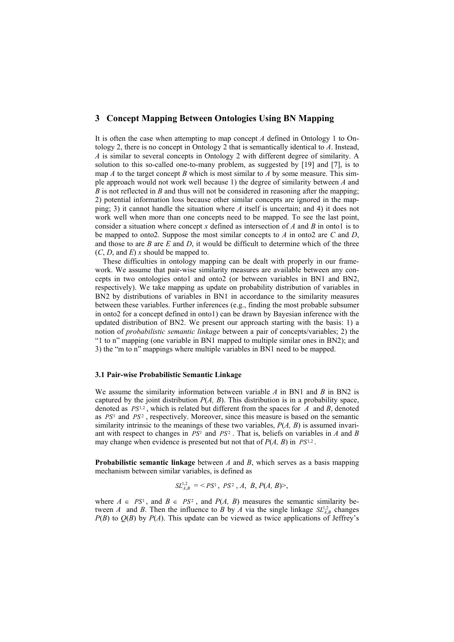### **3 Concept Mapping Between Ontologies Using BN Mapping**

It is often the case when attempting to map concept *A* defined in Ontology 1 to Ontology 2, there is no concept in Ontology 2 that is semantically identical to *A*. Instead, *A* is similar to several concepts in Ontology 2 with different degree of similarity. A solution to this so-called one-to-many problem, as suggested by [19] and [7], is to map  $\Lambda$  to the target concept  $\Lambda$  which is most similar to  $\Lambda$  by some measure. This simple approach would not work well because 1) the degree of similarity between *A* and *B* is not reflected in *B* and thus will not be considered in reasoning after the mapping; 2) potential information loss because other similar concepts are ignored in the mapping; 3) it cannot handle the situation where *A* itself is uncertain; and 4) it does not work well when more than one concepts need to be mapped. To see the last point, consider a situation where concept x defined as intersection of A and B in onto1 is to be mapped to onto2. Suppose the most similar concepts to *A* in onto2 are *C* and *D*, and those to are *B* are *E* and *D*, it would be difficult to determine which of the three (*C*, *D*, and *E*) *x* should be mapped to.

 These difficulties in ontology mapping can be dealt with properly in our framework. We assume that pair-wise similarity measures are available between any concepts in two ontologies onto1 and onto2 (or between variables in BN1 and BN2, respectively). We take mapping as update on probability distribution of variables in BN2 by distributions of variables in BN1 in accordance to the similarity measures between these variables. Further inferences (e.g., finding the most probable subsumer in onto2 for a concept defined in onto1) can be drawn by Bayesian inference with the updated distribution of BN2. We present our approach starting with the basis: 1) a notion of *probabilistic semantic linkage* between a pair of concepts/variables; 2) the "1 to n" mapping (one variable in BN1 mapped to multiple similar ones in BN2); and 3) the "m to n" mappings where multiple variables in BN1 need to be mapped.

#### **3.1 Pair-wise Probabilistic Semantic Linkage**

We assume the similarity information between variable *A* in BN1 and *B* in BN2 is captured by the joint distribution  $P(A, B)$ . This distribution is in a probability space, denoted as *PS*1,2 , which is related but different from the spaces for *A* and *B*, denoted as *PS*<sup>1</sup> and *PS*<sup>2</sup>, respectively. Moreover, since this measure is based on the semantic similarity intrinsic to the meanings of these two variables, *P*(*A, B*) is assumed invariant with respect to changes in *PS*<sup>1</sup> and *PS*<sup>2</sup>. That is, beliefs on variables in *A* and *B* may change when evidence is presented but not that of *P*(*A, B*) in *PS*1,2 .

**Probabilistic semantic linkage** between *A* and *B*, which serves as a basis mapping mechanism between similar variables, is defined as

$$
SL_{A,B}^{1,2} = \langle PS^1, PS^2, A, B, P(A, B) \rangle,
$$

where  $A \in PS<sup>1</sup>$ , and  $B \in PS<sup>2</sup>$ , and  $P(A, B)$  measures the semantic similarity between *A* and *B*. Then the influence to *B* by *A* via the single linkage  $SL<sup>1,2</sup><sub>A,B</sub>$  changes  $P(B)$  to  $Q(B)$  by  $P(A)$ . This update can be viewed as twice applications of Jeffrey's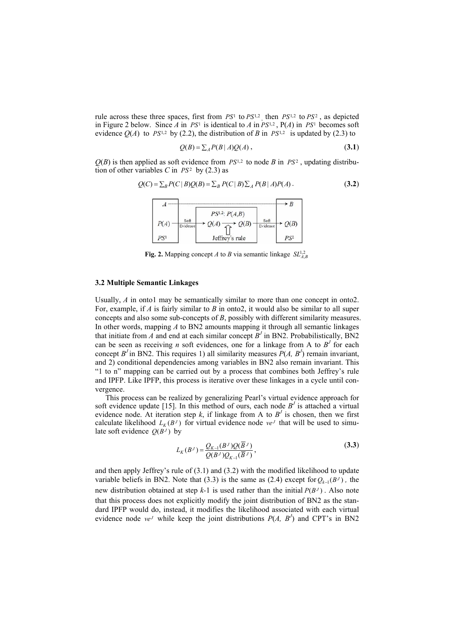rule across these three spaces, first from  $PS<sup>1</sup>$  to  $PS<sup>1,2</sup>$  then  $PS<sup>1,2</sup>$  to  $PS<sup>2</sup>$ , as depicted in Figure 2 below. Since *A* in *PS*<sup>1</sup> is identical to *A* in *PS*<sup>1,2</sup>, *P(A)* in *PS*<sup>1</sup> becomes soft evidence  $Q(A)$  to *PS*<sup>1,2</sup> by (2.2), the distribution of *B* in *PS*<sup>1,2</sup> is updated by (2.3) to

$$
Q(B) = \sum_{A} P(B \mid A) Q(A) , \qquad (3.1)
$$

 $Q(B)$  is then applied as soft evidence from *PS*<sup>1,2</sup> to node *B* in *PS*<sup>2</sup>, updating distribution of other variables  $C$  in  $PS<sup>2</sup>$  by (2.3) as

$$
Q(C) = \sum_{B} P(C | B) Q(B) = \sum_{B} P(C | B) \sum_{A} P(B | A) P(A).
$$
 (3.2)



**Fig. 2.** Mapping concept *A* to *B* via semantic linkage  $SL^{1,2}_{A,B}$ 

#### **3.2 Multiple Semantic Linkages**

Usually, *A* in onto1 may be semantically similar to more than one concept in onto2. For, example, if *A* is fairly similar to *B* in onto2, it would also be similar to all super concepts and also some sub-concepts of *B*, possibly with different similarity measures. In other words, mapping *A* to BN2 amounts mapping it through all semantic linkages that initiate from  $\vec{A}$  and end at each similar concept  $\vec{B}^J$  in BN2. Probabilistically, BN2 can be seen as receiving *n* soft evidences, one for a linkage from A to  $B<sup>J</sup>$  for each concept  $B^J$  in BN2. This requires 1) all similarity measures  $P(A, B^J)$  remain invariant, and 2) conditional dependencies among variables in BN2 also remain invariant. This "1 to n" mapping can be carried out by a process that combines both Jeffrey's rule and IPFP. Like IPFP, this process is iterative over these linkages in a cycle until convergence.

This process can be realized by generalizing Pearl's virtual evidence approach for soft evidence update [15]. In this method of ours, each node  $B<sup>J</sup>$  is attached a virtual evidence node. At iteration step  $k$ , if linkage from A to  $B<sup>J</sup>$  is chosen, then we first calculate likelihood  $L_K(B^J)$  for virtual evidence node  $ve^J$  that will be used to simulate soft evidence  $Q(B^J)$  by

$$
L_K(B^J) = \frac{Q_{K-1}(B^J)Q(\overline{B}^J)}{Q(B^J)Q_{K-1}(\overline{B}^J)},
$$
\n(3.3)

and then apply Jeffrey's rule of (3.1) and (3.2) with the modified likelihood to update variable beliefs in BN2. Note that (3.3) is the same as (2.4) except for  $Q_{k-1}(B^J)$ , the new distribution obtained at step  $k-1$  is used rather than the initial  $P(B^J)$ . Also note that this process does not explicitly modify the joint distribution of BN2 as the standard IPFP would do, instead, it modifies the likelihood associated with each virtual evidence node  $ve^J$  while keep the joint distributions  $P(A, B^J)$  and CPT's in BN2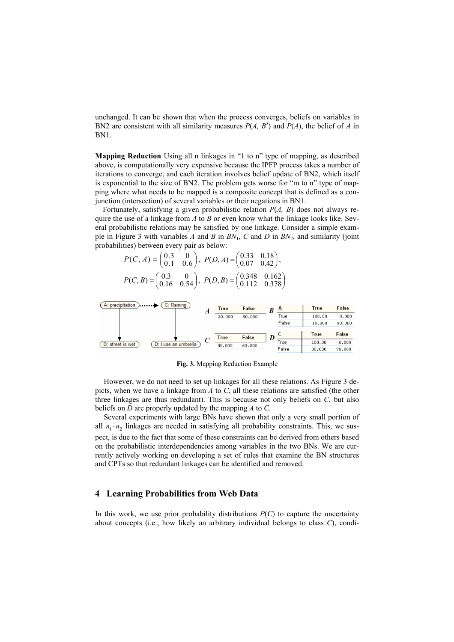unchanged. It can be shown that when the process converges, beliefs on variables in BN2 are consistent with all similarity measures  $P(A, B)$  and  $P(A)$ , the belief of *A* in BN1.

**Mapping Reduction** Using all n linkages in "1 to n" type of mapping, as described above, is computationally very expensive because the IPFP process takes a number of iterations to converge, and each iteration involves belief update of BN2, which itself is exponential to the size of BN2. The problem gets worse for "m to n" type of mapping where what needs to be mapped is a composite concept that is defined as a conjunction (intersection) of several variables or their negations in BN1.

 Fortunately, satisfying a given probabilistic relation *P*(*A, B*) does not always require the use of a linkage from *A* to *B* or even know what the linkage looks like. Several probabilistic relations may be satisfied by one linkage. Consider a simple example in Figure 3 with variables *A* and *B* in *BN*1, *C* and *D* in *BN*2, and similarity (joint probabilities) between every pair as below:

$$
P(C, A) = \begin{pmatrix} 0.3 & 0 \\ 0.1 & 0.6 \end{pmatrix}, P(D, A) = \begin{pmatrix} 0.33 & 0.18 \\ 0.07 & 0.42 \end{pmatrix},
$$
  

$$
P(C, B) = \begin{pmatrix} 0.3 & 0 \\ 0.16 & 0.54 \end{pmatrix}, P(D, B) = \begin{pmatrix} 0.348 & 0.162 \\ 0.112 & 0.378 \end{pmatrix}
$$



**Fig. 3.** Mapping Reduction Example

However, we do not need to set up linkages for all these relations. As Figure 3 depicts, when we have a linkage from *A* to *C*, all these relations are satisfied (the other three linkages are thus redundant). This is because not only beliefs on *C*, but also beliefs on *D* are properly updated by the mapping *A* to *C.*

Several experiments with large BNs have shown that only a very small portion of all  $n_1 \cdot n_2$  linkages are needed in satisfying all probability constraints. This, we suspect, is due to the fact that some of these constraints can be derived from others based on the probabilistic interdependencies among variables in the two BNs. We are currently actively working on developing a set of rules that examine the BN structures and CPTs so that redundant linkages can be identified and removed.

### **4 Learning Probabilities from Web Data**

In this work, we use prior probability distributions  $P(C)$  to capture the uncertainty about concepts (i.e., how likely an arbitrary individual belongs to class *C*), condi-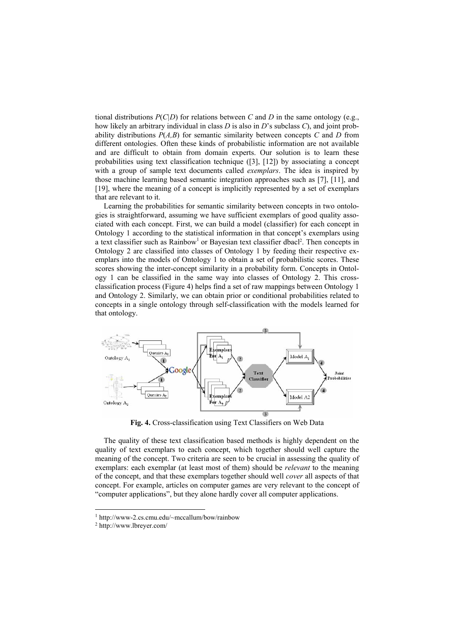tional distributions  $P(C|D)$  for relations between *C* and *D* in the same ontology (e.g., how likely an arbitrary individual in class *D* is also in *D*'s subclass *C*), and joint probability distributions *P*(*A,B*) for semantic similarity between concepts *C* and *D* from different ontologies. Often these kinds of probabilistic information are not available and are difficult to obtain from domain experts. Our solution is to learn these probabilities using text classification technique ([3], [12]) by associating a concept with a group of sample text documents called *exemplars*. The idea is inspired by those machine learning based semantic integration approaches such as [7], [11], and [19], where the meaning of a concept is implicitly represented by a set of exemplars that are relevant to it.

Learning the probabilities for semantic similarity between concepts in two ontologies is straightforward, assuming we have sufficient exemplars of good quality associated with each concept. First, we can build a model (classifier) for each concept in Ontology 1 according to the statistical information in that concept's exemplars using a text classifier such as Rainbow<sup>1</sup> or Bayesian text classifier dbacl<sup>2</sup>. Then concepts in Ontology 2 are classified into classes of Ontology 1 by feeding their respective exemplars into the models of Ontology 1 to obtain a set of probabilistic scores. These scores showing the inter-concept similarity in a probability form. Concepts in Ontology 1 can be classified in the same way into classes of Ontology 2. This crossclassification process (Figure 4) helps find a set of raw mappings between Ontology 1 and Ontology 2. Similarly, we can obtain prior or conditional probabilities related to concepts in a single ontology through self-classification with the models learned for that ontology.



**Fig. 4.** Cross-classification using Text Classifiers on Web Data

The quality of these text classification based methods is highly dependent on the quality of text exemplars to each concept, which together should well capture the meaning of the concept. Two criteria are seen to be crucial in assessing the quality of exemplars: each exemplar (at least most of them) should be *relevant* to the meaning of the concept, and that these exemplars together should well *cover* all aspects of that concept. For example, articles on computer games are very relevant to the concept of "computer applications", but they alone hardly cover all computer applications.

l

<sup>1</sup> http://www-2.cs.cmu.edu/~mccallum/bow/rainbow

<sup>2</sup> http://www.lbreyer.com/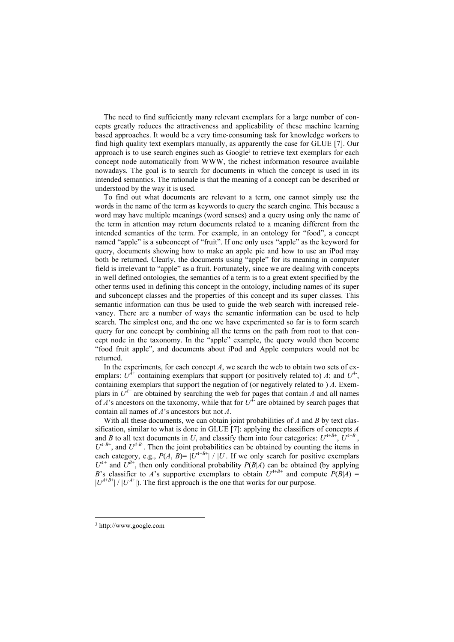The need to find sufficiently many relevant exemplars for a large number of concepts greatly reduces the attractiveness and applicability of these machine learning based approaches. It would be a very time-consuming task for knowledge workers to find high quality text exemplars manually, as apparently the case for GLUE [7]. Our approach is to use search engines such as Google<sup>3</sup> to retrieve text exemplars for each concept node automatically from WWW, the richest information resource available nowadays. The goal is to search for documents in which the concept is used in its intended semantics. The rationale is that the meaning of a concept can be described or understood by the way it is used.

To find out what documents are relevant to a term, one cannot simply use the words in the name of the term as keywords to query the search engine. This because a word may have multiple meanings (word senses) and a query using only the name of the term in attention may return documents related to a meaning different from the intended semantics of the term. For example, in an ontology for "food", a concept named "apple" is a subconcept of "fruit". If one only uses "apple" as the keyword for query, documents showing how to make an apple pie and how to use an iPod may both be returned. Clearly, the documents using "apple" for its meaning in computer field is irrelevant to "apple" as a fruit. Fortunately, since we are dealing with concepts in well defined ontologies, the semantics of a term is to a great extent specified by the other terms used in defining this concept in the ontology, including names of its super and subconcept classes and the properties of this concept and its super classes. This semantic information can thus be used to guide the web search with increased relevancy. There are a number of ways the semantic information can be used to help search. The simplest one, and the one we have experimented so far is to form search query for one concept by combining all the terms on the path from root to that concept node in the taxonomy. In the "apple" example, the query would then become "food fruit apple", and documents about iPod and Apple computers would not be returned.

In the experiments, for each concept  $A$ , we search the web to obtain two sets of exemplars:  $U^{\tilde{A}+}$  containing exemplars that support (or positively related to) *A*; and  $U^{\tilde{A}}$ , containing exemplars that support the negation of (or negatively related to ) *A*. Exemplars in  $U^{4+}$  are obtained by searching the web for pages that contain *A* and all names of *A*'s ancestors on the taxonomy, while that for  $U^{\bar{A}}$  are obtained by search pages that contain all names of *A*'s ancestors but not *A*.

With all these documents, we can obtain joint probabilities of *A* and *B* by text classification, similar to what is done in GLUE [7]: applying the classifiers of concepts *A* and *B* to all text documents in *U*, and classify them into four categories:  $U^{A+B+}$ ,  $U^{A+B-}$ ,  $U^{4-B+}$ , and  $U^{4-B-}$ . Then the joint probabilities can be obtained by counting the items in each category, e.g.,  $P(A, B) = |U^{A+B+}| / |U|$ . If we only search for positive exemplars  $U^{4+}$  and  $U^{B+}$ , then only conditional probability  $P(B|A)$  can be obtained (by applying *B*'s classifier to *A*'s supportive exemplars to obtain  $U^{A+B+}$  and compute  $P(B|A) =$  $|U^{A+B+}| / |U^{A+}|$ ). The first approach is the one that works for our purpose.

l

<sup>3</sup> http://www.google.com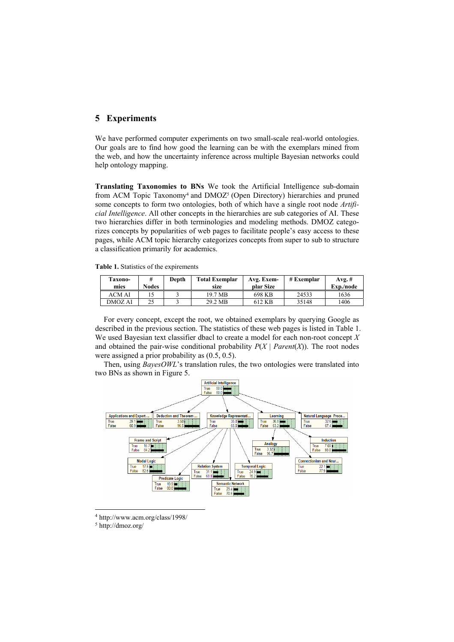# **5 Experiments**

We have performed computer experiments on two small-scale real-world ontologies. Our goals are to find how good the learning can be with the exemplars mined from the web, and how the uncertainty inference across multiple Bayesian networks could help ontology mapping.

**Translating Taxonomies to BNs** We took the Artificial Intelligence sub-domain from ACM Topic Taxonomy<sup>4</sup> and DMOZ<sup>5</sup> (Open Directory) hierarchies and pruned some concepts to form two ontologies, both of which have a single root node *Artificial Intelligence*. All other concepts in the hierarchies are sub categories of AI. These two hierarchies differ in both terminologies and modeling methods. DMOZ categorizes concepts by popularities of web pages to facilitate people's easy access to these pages, while ACM topic hierarchy categorizes concepts from super to sub to structure a classification primarily for academics.

**Table 1.** Statistics of the expirements

| <b>Taxono-</b><br>mies | <b>Nodes</b> | Depth | <b>Total Exemplar</b><br>sıze | Avg. Exem-<br>plar Size | $#$ Exemplar | $Avg.$ #<br>Exp./node |
|------------------------|--------------|-------|-------------------------------|-------------------------|--------------|-----------------------|
| ACM AI                 |              |       | 19.7 MB                       | 698 KB                  | 24533        | 1636                  |
| DMOZ AI                | 25           |       | 29.2 MB                       | 612 KB                  | 35148        | 1406                  |

For every concept, except the root, we obtained exemplars by querying Google as described in the previous section. The statistics of these web pages is listed in Table 1. We used Bayesian text classifier dbacl to create a model for each non-root concept *X* and obtained the pair-wise conditional probability  $P(X \mid Parent(X))$ . The root nodes were assigned a prior probability as (0.5, 0.5).

Then, using *BayesOWL*'s translation rules, the two ontologies were translated into two BNs as shown in Figure 5.



4 http://www.acm.org/class/1998/

5 http://dmoz.org/

l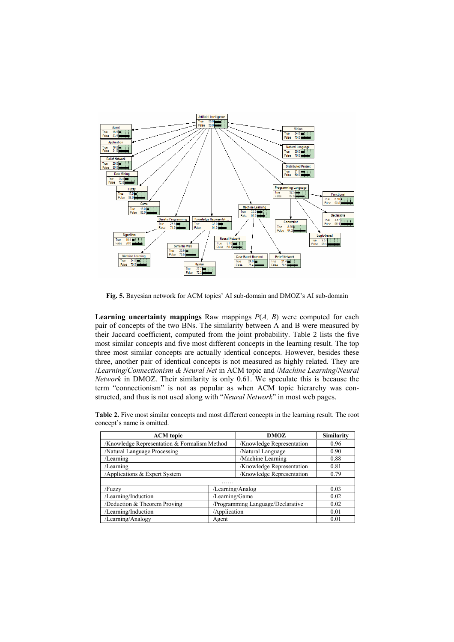

**Fig. 5.** Bayesian network for ACM topics' AI sub-domain and DMOZ's AI sub-domain

**Learning uncertainty mappings** Raw mappings *P*(*A, B*) were computed for each pair of concepts of the two BNs. The similarity between A and B were measured by their Jaccard coefficient, computed from the joint probability. Table 2 lists the five most similar concepts and five most different concepts in the learning result. The top three most similar concepts are actually identical concepts. However, besides these three, another pair of identical concepts is not measured as highly related. They are /*Learning*/*Connectionism & Neural Net* in ACM topic and /*Machine Learning*/*Neural Network* in DMOZ. Their similarity is only 0.61. We speculate this is because the term "connectionism" is not as popular as when ACM topic hierarchy was constructed, and thus is not used along with "*Neural Network*" in most web pages.

**Table 2.** Five most similar concepts and most different concepts in the learning result. The root concept's name is omitted.

| <b>ACM</b> topic                            | <b>DMOZ</b>       | Similarity                        |      |  |
|---------------------------------------------|-------------------|-----------------------------------|------|--|
| Knowledge Representation & Formalism Method |                   | /Knowledge Representation         | 0.96 |  |
| /Natural Language Processing                | /Natural Language | 0.90                              |      |  |
| /Learning                                   | /Machine Learning | 0.88                              |      |  |
| Learning                                    |                   | <b>Knowledge Representation</b>   | 0.81 |  |
| Applications & Expert System                |                   | <b>Knowledge Representation</b>   | 0.79 |  |
|                                             |                   |                                   |      |  |
| /Fuzzy                                      | /Learning/Analog  |                                   | 0.03 |  |
| /Learning/Induction                         | /Learning/Game    |                                   | 0.02 |  |
| Deduction & Theorem Proving                 |                   | /Programming Language/Declarative | 0.02 |  |
| /Learning/Induction<br>/Application         |                   |                                   | 0.01 |  |
| /Learning/Analogy<br>Agent                  |                   |                                   | 0.01 |  |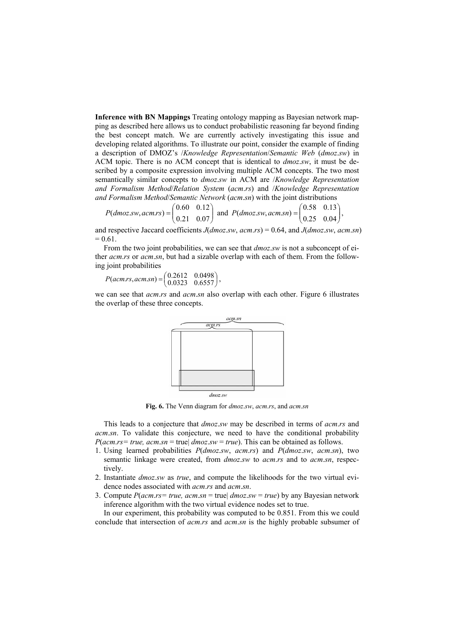**Inference with BN Mappings** Treating ontology mapping as Bayesian network mapping as described here allows us to conduct probabilistic reasoning far beyond finding the best concept match. We are currently actively investigating this issue and developing related algorithms. To illustrate our point, consider the example of finding a description of DMOZ's /*Knowledge Representation*/*Semantic Web* (*dmoz*.*sw*) in ACM topic. There is no ACM concept that is identical to *dmoz*.*sw*, it must be described by a composite expression involving multiple ACM concepts. The two most semantically similar concepts to *dmoz*.*sw* in ACM are /*Knowledge Representation and Formalism Method*/*Relation System* (*acm*.*rs*) and /*Knowledge Representation and Formalism Method*/*Semantic Network* (*acm*.*sn*) with the joint distributions

$$
P(dmoz.sw, acm.rs) = \begin{pmatrix} 0.60 & 0.12 \\ 0.21 & 0.07 \end{pmatrix} \text{ and } P(dmoz.sw, acm.sn) = \begin{pmatrix} 0.58 & 0.13 \\ 0.25 & 0.04 \end{pmatrix},
$$

and respective Jaccard coefficients *J*(*dmoz*.*sw*, *acm*.*rs*) = 0.64, and *J*(*dmoz*.*sw*, *acm*.*sn*)  $= 0.61$ 

From the two joint probabilities, we can see that *dmoz*.*sw* is not a subconcept of either *acm*.*rs* or *acm*.*sn*, but had a sizable overlap with each of them. From the following joint probabilities

 $P(acm.rs, acm.sn) = \begin{pmatrix} 0.2612 & 0.0498 \\ 0.0323 & 0.6557 \end{pmatrix}$ ,

we can see that *acm*.*rs* and *acm*.*sn* also overlap with each other. Figure 6 illustrates the overlap of these three concepts.



**Fig. 6.** The Venn diagram for *dmoz*.*sw*, *acm*.*rs*, and *acm*.*sn*

This leads to a conjecture that *dmoz*.*sw* may be described in terms of *acm*.*rs* and *acm*.*sn*. To validate this conjecture, we need to have the conditional probability  $P(acm.rs= true, acm.sn = true | dmos.sw = true$ . This can be obtained as follows.

- 1. Using learned probabilities *P*(*dmoz*.*sw*, *acm*.*rs*) and *P*(*dmoz*.*sw*, *acm*.*sn*), two semantic linkage were created, from *dmoz*.*sw* to *acm*.*rs* and to *acm*.*sn*, respectively.
- 2. Instantiate *dmoz.sw* as *true*, and compute the likelihoods for the two virtual evidence nodes associated with *acm*.*rs* and *acm*.*sn*.
- 3. Compute *P*(*acm*.*rs= true, acm*.*sn* = true| *dmoz*.*sw* = *true*) by any Bayesian network inference algorithm with the two virtual evidence nodes set to true.

In our experiment, this probability was computed to be 0.851. From this we could conclude that intersection of *acm*.*rs* and *acm*.*sn* is the highly probable subsumer of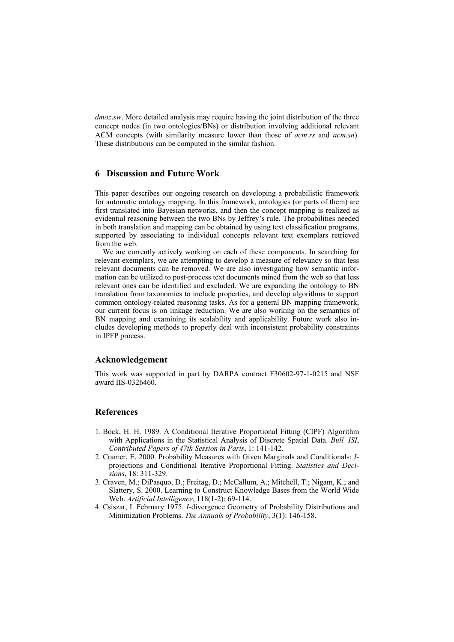*dmoz*.*sw*. More detailed analysis may require having the joint distribution of the three concept nodes (in two ontologies/BNs) or distribution involving additional relevant ACM concepts (with similarity measure lower than those of *acm*.*rs* and *acm*.*sn*). These distributions can be computed in the similar fashion.

# **6 Discussion and Future Work**

This paper describes our ongoing research on developing a probabilistic framework for automatic ontology mapping. In this framework, ontologies (or parts of them) are first translated into Bayesian networks, and then the concept mapping is realized as evidential reasoning between the two BNs by Jeffrey's rule. The probabilities needed in both translation and mapping can be obtained by using text classification programs, supported by associating to individual concepts relevant text exemplars retrieved from the web.

 We are currently actively working on each of these components. In searching for relevant exemplars, we are attempting to develop a measure of relevancy so that less relevant documents can be removed. We are also investigating how semantic information can be utilized to post-process text documents mined from the web so that less relevant ones can be identified and excluded. We are expanding the ontology to BN translation from taxonomies to include properties, and develop algorithms to support common ontology-related reasoning tasks. As for a general BN mapping framework, our current focus is on linkage reduction. We are also working on the semantics of BN mapping and examining its scalability and applicability. Future work also includes developing methods to properly deal with inconsistent probability constraints in IPFP process.

### **Acknowledgement**

This work was supported in part by DARPA contract F30602-97-1-0215 and NSF award IIS-0326460.

# **References**

- 1. Bock, H. H. 1989. A Conditional Iterative Proportional Fitting (CIPF) Algorithm with Applications in the Statistical Analysis of Discrete Spatial Data. *Bull. ISI*, *Contributed Papers of 47th Session in Paris*, 1: 141-142.
- 2. Cramer, E. 2000. Probability Measures with Given Marginals and Conditionals: *I*projections and Conditional Iterative Proportional Fitting. *Statistics and Decisions*, 18: 311-329.
- 3. Craven, M.; DiPasquo, D.; Freitag, D.; McCallum, A.; Mitchell, T.; Nigam, K.; and Slattery, S. 2000. Learning to Construct Knowledge Bases from the World Wide Web. *Artificial Intelligence*, 118(1-2): 69-114.
- 4. Csiszar, I. February 1975. *I*-divergence Geometry of Probability Distributions and Minimization Problems. *The Annuals of Probability*, 3(1): 146-158.